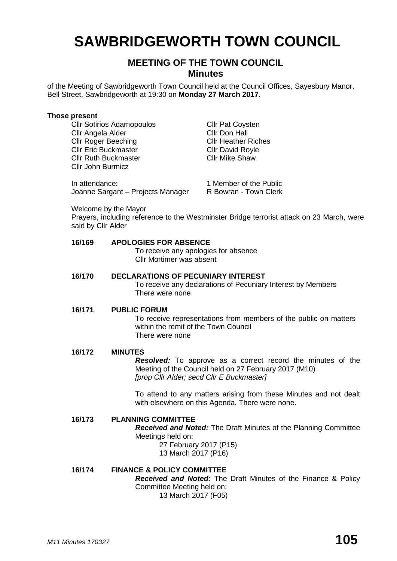# **SAWBRIDGEWORTH TOWN COUNCIL**

## **MEETING OF THE TOWN COUNCIL Minutes**

of the Meeting of Sawbridgeworth Town Council held at the Council Offices, Sayesbury Manor, Bell Street, Sawbridgeworth at 19:30 on **Monday 27 March 2017.**

#### **Those present**

Cllr Sotirios Adamopoulos Cllr Pat Coysten Cllr Angela Alder Cllr Don Hall Cllr Roger Beeching Cllr Heather Riches Cllr Eric Buckmaster Cllr David Royle Cllr Ruth Buckmaster Cllr Mike Shaw Cllr John Burmicz

In attendance: 1 Member of the Public Joanne Sargant – Projects Manager R Bowran - Town Clerk

Welcome by the Mayor

Prayers, including reference to the Westminster Bridge terrorist attack on 23 March, were said by Cllr Alder

#### **16/169 APOLOGIES FOR ABSENCE**

To receive any apologies for absence Cllr Mortimer was absent

#### **16/170 DECLARATIONS OF PECUNIARY INTEREST**

To receive any declarations of Pecuniary Interest by Members There were none

#### **16/171 PUBLIC FORUM**

To receive representations from members of the public on matters within the remit of the Town Council There were none

#### **16/172 MINUTES**

*Resolved:* To approve as a correct record the minutes of the Meeting of the Council held on 27 February 2017 (M10) *[prop Cllr Alder; secd Cllr E Buckmaster]*

To attend to any matters arising from these Minutes and not dealt with elsewhere on this Agenda. There were none.

#### **16/173 PLANNING COMMITTEE**

*Received and Noted:* The Draft Minutes of the Planning Committee Meetings held on:

- 27 February 2017 (P15)
- 13 March 2017 (P16)

### **16/174 FINANCE & POLICY COMMITTEE**

*Received and Noted:* The Draft Minutes of the Finance & Policy Committee Meeting held on:

13 March 2017 (F05)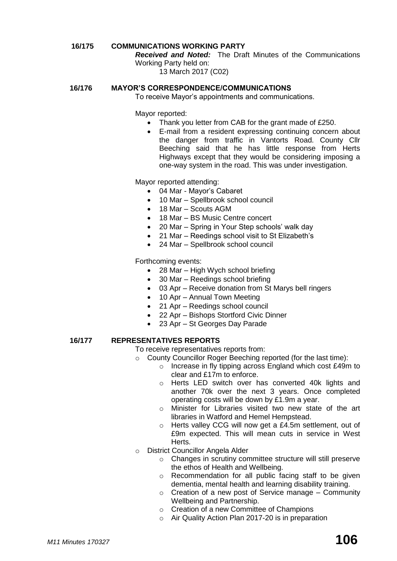#### **16/175 COMMUNICATIONS WORKING PARTY**

*Received and Noted:* The Draft Minutes of the Communications Working Party held on:

13 March 2017 (C02)

#### **16/176 MAYOR'S CORRESPONDENCE/COMMUNICATIONS**

To receive Mayor's appointments and communications.

Mayor reported:

- Thank you letter from CAB for the grant made of £250.
- E-mail from a resident expressing continuing concern about the danger from traffic in Vantorts Road. County Cllr Beeching said that he has little response from Herts Highways except that they would be considering imposing a one-way system in the road. This was under investigation.

Mayor reported attending:

- 04 Mar Mayor's Cabaret
- 10 Mar Spellbrook school council
- 18 Mar Scouts AGM
- 18 Mar BS Music Centre concert
- 20 Mar Spring in Your Step schools' walk day
- 21 Mar Reedings school visit to St Elizabeth's
- 24 Mar Spellbrook school council

Forthcoming events:

- 28 Mar High Wych school briefing
- 30 Mar Reedings school briefing
- 03 Apr Receive donation from St Marys bell ringers
- 10 Apr Annual Town Meeting
- 21 Apr Reedings school council
- 22 Apr Bishops Stortford Civic Dinner
- 23 Apr St Georges Day Parade

#### **16/177 REPRESENTATIVES REPORTS**

To receive representatives reports from:

- o County Councillor Roger Beeching reported (for the last time):
	- o Increase in fly tipping across England which cost £49m to clear and £17m to enforce.
		- o Herts LED switch over has converted 40k lights and another 70k over the next 3 years. Once completed operating costs will be down by £1.9m a year.
		- o Minister for Libraries visited two new state of the art libraries in Watford and Hemel Hempstead.
		- o Herts valley CCG will now get a £4.5m settlement, out of £9m expected. This will mean cuts in service in West Herts.
- o District Councillor Angela Alder
	- o Changes in scrutiny committee structure will still preserve the ethos of Health and Wellbeing.
	- o Recommendation for all public facing staff to be given dementia, mental health and learning disability training.
	- $\circ$  Creation of a new post of Service manage Community Wellbeing and Partnership.
	- o Creation of a new Committee of Champions
	- o Air Quality Action Plan 2017-20 is in preparation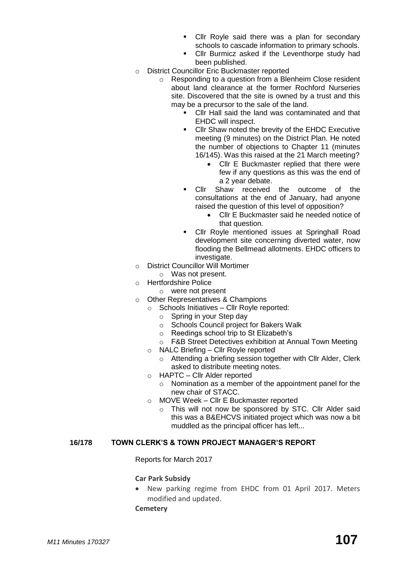- Cllr Royle said there was a plan for secondary schools to cascade information to primary schools.
- Cllr Burmicz asked if the Leventhorpe study had been published.
- o District Councillor Eric Buckmaster reported
	- o Responding to a question from a Blenheim Close resident about land clearance at the former Rochford Nurseries site. Discovered that the site is owned by a trust and this may be a precursor to the sale of the land.
		- Cllr Hall said the land was contaminated and that EHDC will inspect.
		- Cllr Shaw noted the brevity of the EHDC Executive meeting (9 minutes) on the District Plan. He noted the number of objections to Chapter 11 (minutes 16/145). Was this raised at the 21 March meeting?
			- Cllr E Buckmaster replied that there were few if any questions as this was the end of a 2 year debate.
		- Cllr Shaw received the outcome of the consultations at the end of January, had anyone raised the question of this level of opposition?
			- Cllr E Buckmaster said he needed notice of that question.
		- Cllr Royle mentioned issues at Springhall Road development site concerning diverted water, now flooding the Bellmead allotments. EHDC officers to investigate.
- o District Councillor Will Mortimer
	- o Was not present.
- o Hertfordshire Police
	- o were not present
- o Other Representatives & Champions
	- o Schools Initiatives Cllr Royle reported:
		- o Spring in your Step day
		- o Schools Council project for Bakers Walk
		- o Reedings school trip to St Elizabeth's
		- o F&B Street Detectives exhibition at Annual Town Meeting
	- o NALC Briefing Cllr Royle reported
		- o Attending a briefing session together with Cllr Alder, Clerk asked to distribute meeting notes.
	- o HAPTC Cllr Alder reported
		- o Nomination as a member of the appointment panel for the new chair of STACC.
	- o MOVE Week Cllr E Buckmaster reported
		- o This will not now be sponsored by STC. Cllr Alder said this was a B&EHCVS initiated project which was now a bit muddled as the principal officer has left...

#### **16/178 TOWN CLERK'S & TOWN PROJECT MANAGER'S REPORT**

Reports for March 2017

#### **Car Park Subsidy**

 New parking regime from EHDC from 01 April 2017. Meters modified and updated.

#### **[Cemetery](http://www.sawbridgeworth-tc.gov.uk/town-information/town-council-services/cemetery)**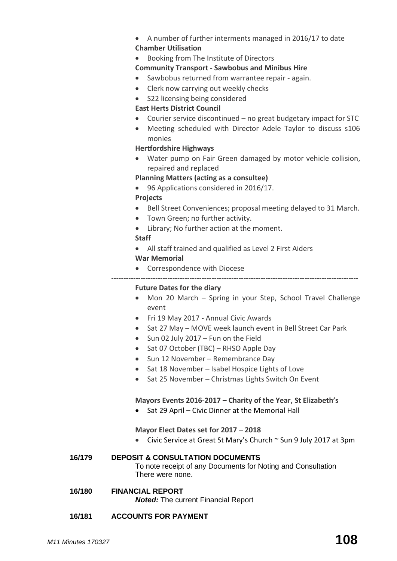- A number of further interments managed in 2016/17 to date **Chamber Utilisation**
- Booking from The Institute of Directors

## **Community Transport - [Sawbobus](http://www.sawbridgeworth-tc.gov.uk/town-information/town-council-services/sawbobus) an[d Minibus Hire](http://www.sawbridgeworth-tc.gov.uk/town-information/town-council-services/minibus-hire)**

- Sawbobus returned from warrantee repair again.
- Clerk now carrying out weekly checks
- S22 licensing being considered

## **East Herts District Council**

- Courier service discontinued no great budgetary impact for STC
- Meeting scheduled with Director Adele Taylor to discuss s106 monies

## **Hertfordshire Highways**

 Water pump on Fair Green damaged by motor vehicle collision, repaired and replaced

## **[Planning Matters \(acting as a consultee\)](http://www.sawbridgeworth-tc.gov.uk/town-council/planning)**

• 96 Applications considered in 2016/17.

## **Projects**

- Bell Street Conveniences; proposal meeting delayed to 31 March.
- Town Green; no further activity.
- Library; No further action at the moment.

## **Staff**

All staff trained and qualified as Level 2 First Aiders

## **War Memorial**

Correspondence with Diocese

#### -----------------------------------------------------------------------------------------------------

#### **Future Dates for the diary**

- Mon 20 March Spring in your Step, School Travel Challenge event
- Fri 19 May 2017 Annual Civic Awards
- Sat 27 May MOVE week launch event in Bell Street Car Park
- $\bullet$  Sun 02 July 2017 Fun on the Field
- Sat 07 October (TBC) RHSO Apple Day
- Sun 12 November Remembrance Day
- Sat 18 November Isabel Hospice Lights of Love
- Sat 25 November Christmas Lights Switch On Event

#### **Mayors Events 2016-2017 – Charity of the Year, St Elizabeth's**

• Sat 29 April – Civic Dinner at the Memorial Hall

#### **Mayor Elect Dates set for 2017 – 2018**

• Civic Service at Great St Mary's Church ~ Sun 9 July 2017 at 3pm

#### **16/179 DEPOSIT & CONSULTATION DOCUMENTS**

To note receipt of any Documents for Noting and Consultation There were none.

#### **16/180 FINANCIAL REPORT**

*Noted:* The current Financial Report

#### **16/181 ACCOUNTS FOR PAYMENT**